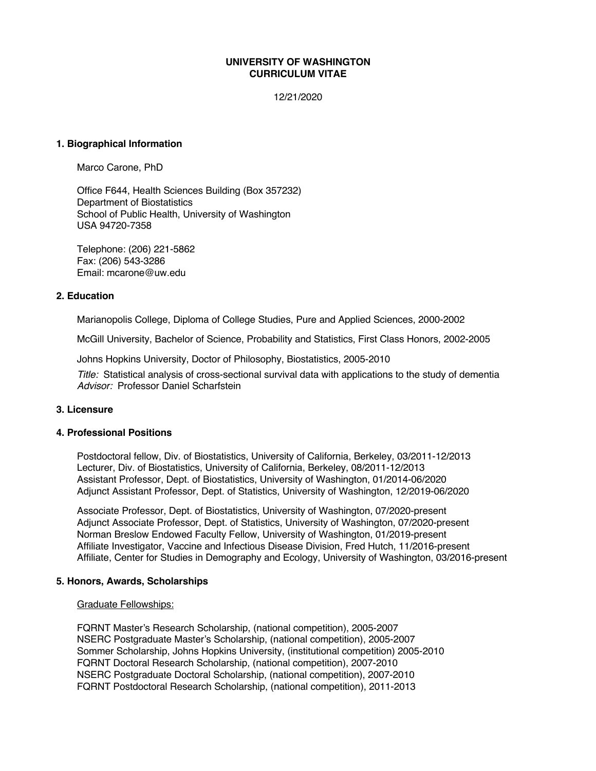### **UNIVERSITY OF WASHINGTON CURRICULUM VITAE**

12/21/2020

#### **1. Biographical Information**

Marco Carone, PhD

Office F644, Health Sciences Building (Box 357232) Department of Biostatistics School of Public Health, University of Washington USA 94720-7358

Telephone: (206) 221-5862 Fax: (206) 543-3286 Email: mcarone@uw.edu

#### **2. Education**

Marianopolis College, Diploma of College Studies, Pure and Applied Sciences, 2000-2002

McGill University, Bachelor of Science, Probability and Statistics, First Class Honors, 2002-2005

Johns Hopkins University, Doctor of Philosophy, Biostatistics, 2005-2010

*Title:* Statistical analysis of cross-sectional survival data with applications to the study of dementia *Advisor:* Professor Daniel Scharfstein

### **3. Licensure**

#### **4. Professional Positions**

Postdoctoral fellow, Div. of Biostatistics, University of California, Berkeley, 03/2011-12/2013 Lecturer, Div. of Biostatistics, University of California, Berkeley, 08/2011-12/2013 Assistant Professor, Dept. of Biostatistics, University of Washington, 01/2014-06/2020 Adjunct Assistant Professor, Dept. of Statistics, University of Washington, 12/2019-06/2020

Associate Professor, Dept. of Biostatistics, University of Washington, 07/2020-present Adjunct Associate Professor, Dept. of Statistics, University of Washington, 07/2020-present Norman Breslow Endowed Faculty Fellow, University of Washington, 01/2019-present Affiliate Investigator, Vaccine and Infectious Disease Division, Fred Hutch, 11/2016-present Affiliate, Center for Studies in Demography and Ecology, University of Washington, 03/2016-present

#### **5. Honors, Awards, Scholarships**

#### Graduate Fellowships:

FQRNT Master's Research Scholarship, (national competition), 2005-2007 NSERC Postgraduate Master's Scholarship, (national competition), 2005-2007 Sommer Scholarship, Johns Hopkins University, (institutional competition) 2005-2010 FQRNT Doctoral Research Scholarship, (national competition), 2007-2010 NSERC Postgraduate Doctoral Scholarship, (national competition), 2007-2010 FQRNT Postdoctoral Research Scholarship, (national competition), 2011-2013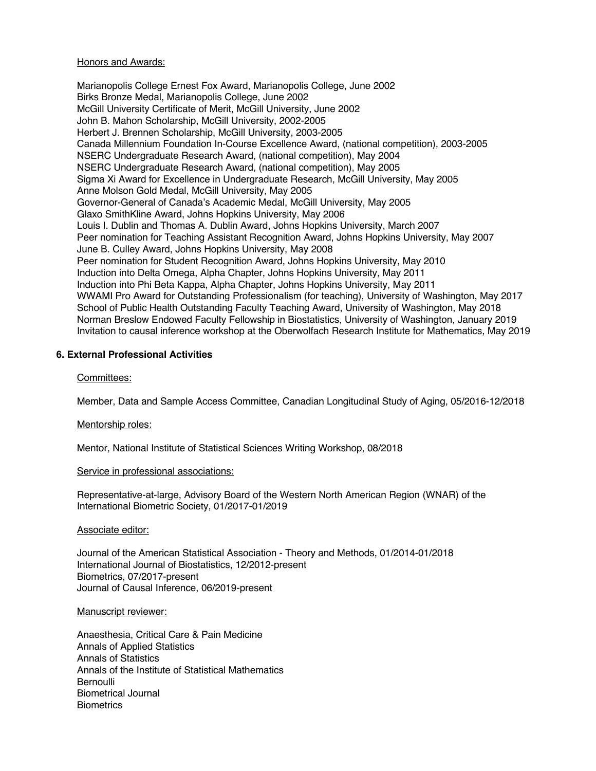#### Honors and Awards:

Marianopolis College Ernest Fox Award, Marianopolis College, June 2002 Birks Bronze Medal, Marianopolis College, June 2002 McGill University Certificate of Merit, McGill University, June 2002 John B. Mahon Scholarship, McGill University, 2002-2005 Herbert J. Brennen Scholarship, McGill University, 2003-2005 Canada Millennium Foundation In-Course Excellence Award, (national competition), 2003-2005 NSERC Undergraduate Research Award, (national competition), May 2004 NSERC Undergraduate Research Award, (national competition), May 2005 Sigma Xi Award for Excellence in Undergraduate Research, McGill University, May 2005 Anne Molson Gold Medal, McGill University, May 2005 Governor-General of Canada's Academic Medal, McGill University, May 2005 Glaxo SmithKline Award, Johns Hopkins University, May 2006 Louis I. Dublin and Thomas A. Dublin Award, Johns Hopkins University, March 2007 Peer nomination for Teaching Assistant Recognition Award, Johns Hopkins University, May 2007 June B. Culley Award, Johns Hopkins University, May 2008 Peer nomination for Student Recognition Award, Johns Hopkins University, May 2010 Induction into Delta Omega, Alpha Chapter, Johns Hopkins University, May 2011 Induction into Phi Beta Kappa, Alpha Chapter, Johns Hopkins University, May 2011 WWAMI Pro Award for Outstanding Professionalism (for teaching), University of Washington, May 2017 School of Public Health Outstanding Faculty Teaching Award, University of Washington, May 2018 Norman Breslow Endowed Faculty Fellowship in Biostatistics, University of Washington, January 2019 Invitation to causal inference workshop at the Oberwolfach Research Institute for Mathematics, May 2019

### **6. External Professional Activities**

### Committees:

Member, Data and Sample Access Committee, Canadian Longitudinal Study of Aging, 05/2016-12/2018

### Mentorship roles:

Mentor, National Institute of Statistical Sciences Writing Workshop, 08/2018

### Service in professional associations:

Representative-at-large, Advisory Board of the Western North American Region (WNAR) of the International Biometric Society, 01/2017-01/2019

### Associate editor:

Journal of the American Statistical Association - Theory and Methods, 01/2014-01/2018 International Journal of Biostatistics, 12/2012-present Biometrics, 07/2017-present Journal of Causal Inference, 06/2019-present

#### Manuscript reviewer:

Anaesthesia, Critical Care & Pain Medicine Annals of Applied Statistics Annals of Statistics Annals of the Institute of Statistical Mathematics **Bernoulli** Biometrical Journal **Biometrics**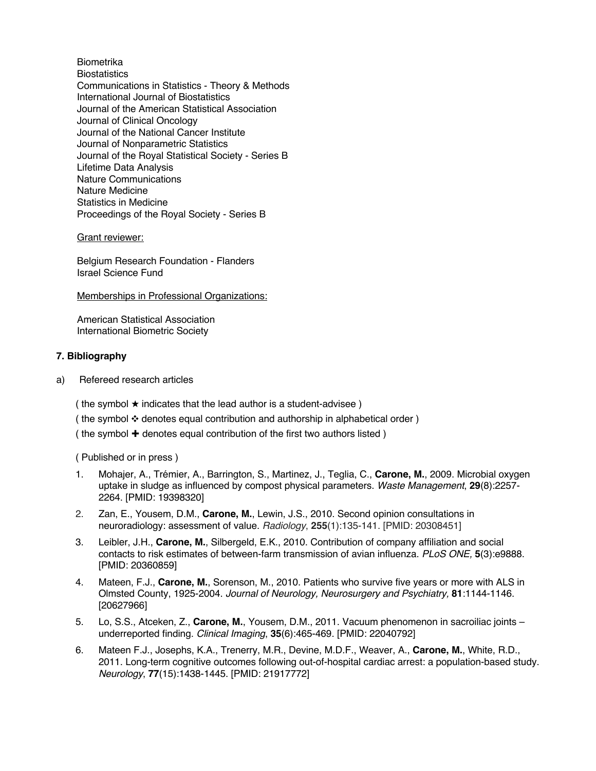Biometrika **Biostatistics** Communications in Statistics - Theory & Methods International Journal of Biostatistics Journal of the American Statistical Association Journal of Clinical Oncology Journal of the National Cancer Institute Journal of Nonparametric Statistics Journal of the Royal Statistical Society - Series B Lifetime Data Analysis Nature Communications Nature Medicine Statistics in Medicine Proceedings of the Royal Society - Series B

### Grant reviewer:

Belgium Research Foundation - Flanders Israel Science Fund

Memberships in Professional Organizations:

American Statistical Association International Biometric Society

## **7. Bibliography**

a) Refereed research articles

( the symbol  $\star$  indicates that the lead author is a student-advisee )

( the symbol ❖ denotes equal contribution and authorship in alphabetical order )

( the symbol ✚ denotes equal contribution of the first two authors listed )

( Published or in press )

- 1. Mohajer, A., Trémier, A., Barrington, S., Martinez, J., Teglia, C., **Carone, M.**, 2009. Microbial oxygen uptake in sludge as influenced by compost physical parameters. *Waste Management*, **29**(8):2257- 2264. [PMID: 19398320]
- 2. Zan, E., Yousem, D.M., **Carone, M.**, Lewin, J.S., 2010. Second opinion consultations in neuroradiology: assessment of value. *Radiology*, **255**(1):135-141. [PMID: 20308451]
- 3. Leibler, J.H., **Carone, M.**, Silbergeld, E.K., 2010. Contribution of company affiliation and social contacts to risk estimates of between-farm transmission of avian influenza. *PLoS ONE,* **5**(3):e9888. [PMID: 20360859]
- 4. Mateen, F.J., **Carone, M.**, Sorenson, M., 2010. Patients who survive five years or more with ALS in Olmsted County, 1925-2004. *Journal of Neurology, Neurosurgery and Psychiatry,* **81**:1144-1146. [20627966]
- 5. Lo, S.S., Atceken, Z., **Carone, M.**, Yousem, D.M., 2011. Vacuum phenomenon in sacroiliac joints underreported finding. *Clinical Imaging*, **35**(6):465-469. [PMID: 22040792]
- 6. Mateen F.J., Josephs, K.A., Trenerry, M.R., Devine, M.D.F., Weaver, A., **Carone, M.**, White, R.D., 2011. Long-term cognitive outcomes following out-of-hospital cardiac arrest: a population-based study. *Neurology*, **77**(15):1438-1445. [PMID: 21917772]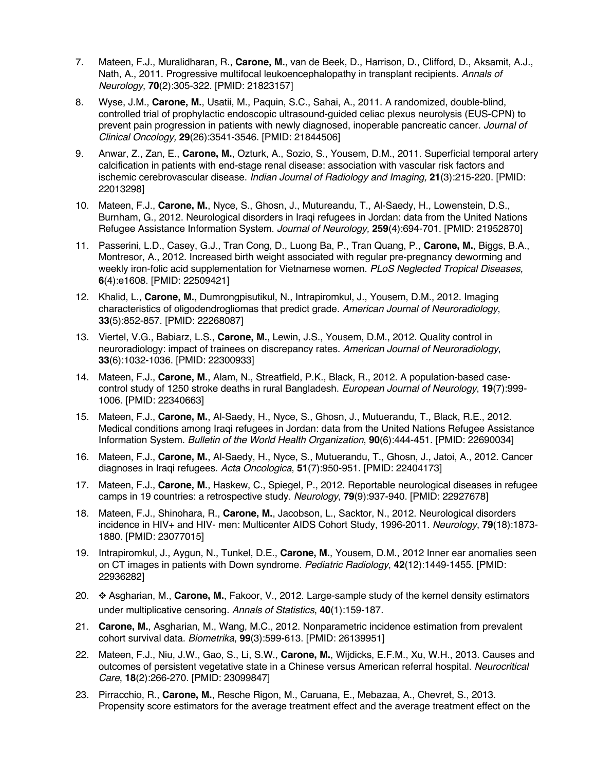- 7. Mateen, F.J., Muralidharan, R., **Carone, M.**, van de Beek, D., Harrison, D., Clifford, D., Aksamit, A.J., Nath, A., 2011. Progressive multifocal leukoencephalopathy in transplant recipients. *Annals of Neurology*, **70**(2):305-322. [PMID: 21823157]
- 8. Wyse, J.M., **Carone, M.**, Usatii, M., Paquin, S.C., Sahai, A., 2011. A randomized, double-blind, controlled trial of prophylactic endoscopic ultrasound-guided celiac plexus neurolysis (EUS-CPN) to prevent pain progression in patients with newly diagnosed, inoperable pancreatic cancer. *Journal of Clinical Oncology,* **29**(26):3541-3546. [PMID: 21844506]
- 9. Anwar, Z., Zan, E., **Carone, M.**, Ozturk, A., Sozio, S., Yousem, D.M., 2011. Superficial temporal artery calcification in patients with end-stage renal disease: association with vascular risk factors and ischemic cerebrovascular disease. *Indian Journal of Radiology and Imaging,* **21**(3):215-220. [PMID: 22013298]
- 10. Mateen, F.J., **Carone, M.**, Nyce, S., Ghosn, J., Mutureandu, T., Al-Saedy, H., Lowenstein, D.S., Burnham, G., 2012. Neurological disorders in Iraqi refugees in Jordan: data from the United Nations Refugee Assistance Information System. *Journal of Neurology,* **259**(4):694-701. [PMID: 21952870]
- 11. Passerini, L.D., Casey, G.J., Tran Cong, D., Luong Ba, P., Tran Quang, P., **Carone, M.**, Biggs, B.A., Montresor, A., 2012. Increased birth weight associated with regular pre-pregnancy deworming and weekly iron-folic acid supplementation for Vietnamese women. *PLoS Neglected Tropical Diseases*, **6**(4):e1608. [PMID: 22509421]
- 12. Khalid, L., **Carone, M.**, Dumrongpisutikul, N., Intrapiromkul, J., Yousem, D.M., 2012. Imaging characteristics of oligodendrogliomas that predict grade. *American Journal of Neuroradiology*, **33**(5):852-857. [PMID: 22268087]
- 13. Viertel, V.G., Babiarz, L.S., **Carone, M.**, Lewin, J.S., Yousem, D.M., 2012. Quality control in neuroradiology: impact of trainees on discrepancy rates. *American Journal of Neuroradiology*, **33**(6):1032-1036. [PMID: 22300933]
- 14. Mateen, F.J., **Carone, M.**, Alam, N., Streatfield, P.K., Black, R., 2012. A population-based casecontrol study of 1250 stroke deaths in rural Bangladesh. *European Journal of Neurology*, **19**(7):999- 1006. [PMID: 22340663]
- 15. Mateen, F.J., **Carone, M.**, Al-Saedy, H., Nyce, S., Ghosn, J., Mutuerandu, T., Black, R.E., 2012. Medical conditions among Iraqi refugees in Jordan: data from the United Nations Refugee Assistance Information System. *Bulletin of the World Health Organization*, **90**(6):444-451. [PMID: 22690034]
- 16. Mateen, F.J., **Carone, M.**, Al-Saedy, H., Nyce, S., Mutuerandu, T., Ghosn, J., Jatoi, A., 2012. Cancer diagnoses in Iraqi refugees. *Acta Oncologica*, **51**(7):950-951. [PMID: 22404173]
- 17. Mateen, F.J., **Carone, M.**, Haskew, C., Spiegel, P., 2012. Reportable neurological diseases in refugee camps in 19 countries: a retrospective study. *Neurology*, **79**(9):937-940. [PMID: 22927678]
- 18. Mateen, F.J., Shinohara, R., **Carone, M.**, Jacobson, L., Sacktor, N., 2012. Neurological disorders incidence in HIV+ and HIV- men: Multicenter AIDS Cohort Study, 1996-2011. *Neurology*, **79**(18):1873- 1880. [PMID: 23077015]
- 19. Intrapiromkul, J., Aygun, N., Tunkel, D.E., **Carone, M.**, Yousem, D.M., 2012 Inner ear anomalies seen on CT images in patients with Down syndrome. *Pediatric Radiology*, **42**(12):1449-1455. [PMID: 22936282]
- 20. ❖ Asgharian, M., **Carone, M.**, Fakoor, V., 2012. Large-sample study of the kernel density estimators under multiplicative censoring. *Annals of Statistics*, **40**(1):159-187.
- 21. **Carone, M.**, Asgharian, M., Wang, M.C., 2012. Nonparametric incidence estimation from prevalent cohort survival data. *Biometrika*, **99**(3):599-613. [PMID: 26139951]
- 22. Mateen, F.J., Niu, J.W., Gao, S., Li, S.W., **Carone, M.**, Wijdicks, E.F.M., Xu, W.H., 2013. Causes and outcomes of persistent vegetative state in a Chinese versus American referral hospital. *Neurocritical Care*, **18**(2):266-270. [PMID: 23099847]
- 23. Pirracchio, R., **Carone, M.**, Resche Rigon, M., Caruana, E., Mebazaa, A., Chevret, S., 2013. Propensity score estimators for the average treatment effect and the average treatment effect on the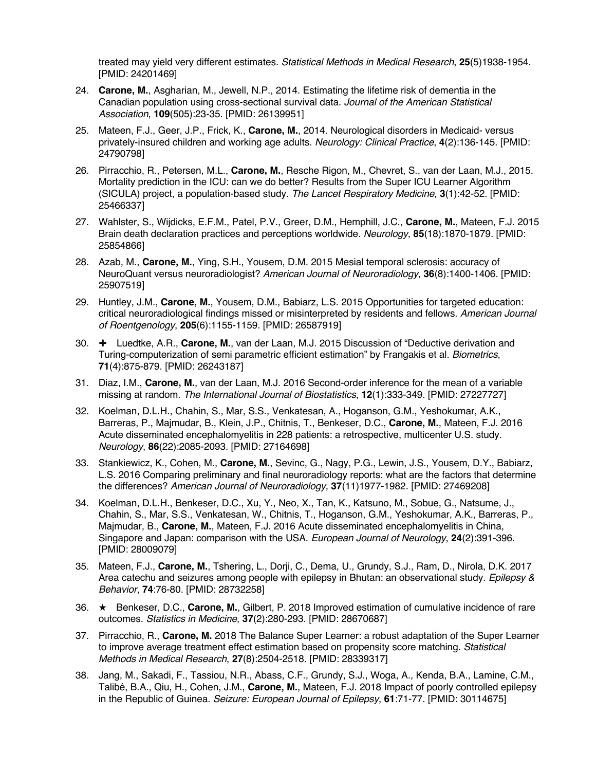treated may yield very different estimates. *Statistical Methods in Medical Research*, **25**(5)1938-1954. [PMID: 24201469]

- 24. **Carone, M.**, Asgharian, M., Jewell, N.P., 2014. Estimating the lifetime risk of dementia in the Canadian population using cross-sectional survival data. *Journal of the American Statistical Association*, **109**(505):23-35. [PMID: 26139951]
- 25. Mateen, F.J., Geer, J.P., Frick, K., **Carone, M.**, 2014. Neurological disorders in Medicaid- versus privately-insured children and working age adults. *Neurology: Clinical Practice*, **4**(2):136-145. [PMID: 24790798]
- 26. Pirracchio, R., Petersen, M.L., **Carone, M.**, Resche Rigon, M., Chevret, S., van der Laan, M.J., 2015. Mortality prediction in the ICU: can we do better? Results from the Super ICU Learner Algorithm (SICULA) project, a population-based study. *The Lancet Respiratory Medicine,* **3**(1):42-52. [PMID: 25466337]
- 27. Wahlster, S., Wijdicks, E.F.M., Patel, P.V., Greer, D.M., Hemphill, J.C., **Carone, M.**, Mateen, F.J. 2015 Brain death declaration practices and perceptions worldwide. *Neurology*, **85**(18):1870-1879. [PMID: 25854866]
- 28. Azab, M., **Carone, M.**, Ying, S.H., Yousem, D.M. 2015 Mesial temporal sclerosis: accuracy of NeuroQuant versus neuroradiologist? *American Journal of Neuroradiology*, **36**(8):1400-1406. [PMID: 25907519]
- 29. Huntley, J.M., **Carone, M.**, Yousem, D.M., Babiarz, L.S. 2015 Opportunities for targeted education: critical neuroradiological findings missed or misinterpreted by residents and fellows. *American Journal of Roentgenology*, **205**(6):1155-1159. [PMID: 26587919]
- 30. ✚ Luedtke, A.R., **Carone, M.**, van der Laan, M.J. 2015 Discussion of "Deductive derivation and Turing-computerization of semi parametric efficient estimation" by Frangakis et al. *Biometrics*, **71**(4):875-879. [PMID: 26243187]
- 31. Diaz, I.M., **Carone, M.**, van der Laan, M.J. 2016 Second-order inference for the mean of a variable missing at random. *The International Journal of Biostatistics*, **12**(1):333-349. [PMID: 27227727]
- 32. Koelman, D.L.H., Chahin, S., Mar, S.S., Venkatesan, A., Hoganson, G.M., Yeshokumar, A.K., Barreras, P., Majmudar, B., Klein, J.P., Chitnis, T., Benkeser, D.C., **Carone, M.**, Mateen, F.J. 2016 Acute disseminated encephalomyelitis in 228 patients: a retrospective, multicenter U.S. study. *Neurology*, **86**(22):2085-2093. [PMID: 27164698]
- 33. Stankiewicz, K., Cohen, M., **Carone, M.**, Sevinc, G., Nagy, P.G., Lewin, J.S., Yousem, D.Y., Babiarz, L.S. 2016 Comparing preliminary and final neuroradiology reports: what are the factors that determine the differences? *American Journal of Neuroradiology*, **37**(11)1977-1982. [PMID: 27469208]
- 34. Koelman, D.L.H., Benkeser, D.C., Xu, Y., Neo, X., Tan, K., Katsuno, M., Sobue, G., Natsume, J., Chahin, S., Mar, S.S., Venkatesan, W., Chitnis, T., Hoganson, G.M., Yeshokumar, A.K., Barreras, P., Majmudar, B., **Carone, M.**, Mateen, F.J. 2016 Acute disseminated encephalomyelitis in China, Singapore and Japan: comparison with the USA. *European Journal of Neurology*, **24**(2):391-396. [PMID: 28009079]
- 35. Mateen, F.J., **Carone, M.**, Tshering, L., Dorji, C., Dema, U., Grundy, S.J., Ram, D., Nirola, D.K. 2017 Area catechu and seizures among people with epilepsy in Bhutan: an observational study. *Epilepsy & Behavior*, **74**:76-80. [PMID: 28732258]
- 36. ★ Benkeser, D.C., **Carone, M.**, Gilbert, P. 2018 Improved estimation of cumulative incidence of rare outcomes. *Statistics in Medicine*, **37**(2):280-293. [PMID: 28670687]
- 37. Pirracchio, R., **Carone, M.** 2018 The Balance Super Learner: a robust adaptation of the Super Learner to improve average treatment effect estimation based on propensity score matching. *Statistical Methods in Medical Research*, **27**(8):2504-2518. [PMID: 28339317]
- 38. Jang, M., Sakadi, F., Tassiou, N.R., Abass, C.F., Grundy, S.J., Woga, A., Kenda, B.A., Lamine, C.M., Talibé, B.A., Qiu, H., Cohen, J.M., **Carone, M.**, Mateen, F.J. 2018 Impact of poorly controlled epilepsy in the Republic of Guinea. *Seizure: European Journal of Epilepsy*, **61**:71-77. [PMID: 30114675]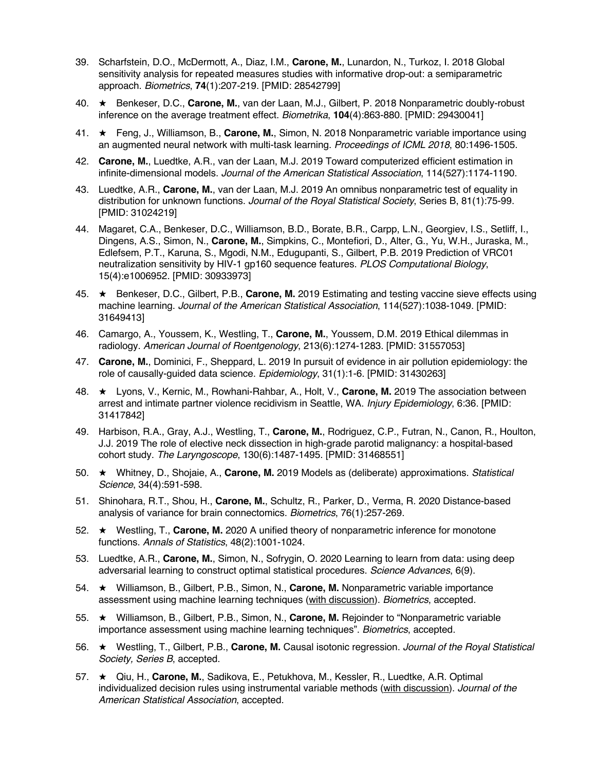- 39. Scharfstein, D.O., McDermott, A., Diaz, I.M., **Carone, M.**, Lunardon, N., Turkoz, I. 2018 Global sensitivity analysis for repeated measures studies with informative drop-out: a semiparametric approach. *Biometrics*, **74**(1):207-219. [PMID: 28542799]
- 40. ★ Benkeser, D.C., **Carone, M.**, van der Laan, M.J., Gilbert, P. 2018 Nonparametric doubly-robust inference on the average treatment effect. *Biometrika*, **104**(4):863-880. [PMID: 29430041]
- 41. ★ Feng, J., Williamson, B., **Carone, M.**, Simon, N. 2018 Nonparametric variable importance using an augmented neural network with multi-task learning. *Proceedings of ICML 2018*, 80:1496-1505.
- 42. **Carone, M.**, Luedtke, A.R., van der Laan, M.J. 2019 Toward computerized efficient estimation in infinite-dimensional models. *Journal of the American Statistical Association*, 114(527):1174-1190.
- 43. Luedtke, A.R., **Carone, M.**, van der Laan, M.J. 2019 An omnibus nonparametric test of equality in distribution for unknown functions. *Journal of the Royal Statistical Society*, Series B, 81(1):75-99. [PMID: 31024219]
- 44. Magaret, C.A., Benkeser, D.C., Williamson, B.D., Borate, B.R., Carpp, L.N., Georgiev, I.S., Setliff, I., Dingens, A.S., Simon, N., **Carone, M.**, Simpkins, C., Montefiori, D., Alter, G., Yu, W.H., Juraska, M., Edlefsem, P.T., Karuna, S., Mgodi, N.M., Edugupanti, S., Gilbert, P.B. 2019 Prediction of VRC01 neutralization sensitivity by HIV-1 gp160 sequence features. *PLOS Computational Biology*, 15(4):e1006952. [PMID: 30933973]
- 45. ★ Benkeser, D.C., Gilbert, P.B., **Carone, M.** 2019 Estimating and testing vaccine sieve effects using machine learning. *Journal of the American Statistical Association*, 114(527):1038-1049. [PMID: 31649413]
- 46. Camargo, A., Youssem, K., Westling, T., **Carone, M.**, Youssem, D.M. 2019 Ethical dilemmas in radiology. *American Journal of Roentgenology*, 213(6):1274-1283. [PMID: 31557053]
- 47. **Carone, M.**, Dominici, F., Sheppard, L. 2019 In pursuit of evidence in air pollution epidemiology: the role of causally-guided data science. *Epidemiology*, 31(1):1-6. [PMID: 31430263]
- 48. ★ Lyons, V., Kernic, M., Rowhani-Rahbar, A., Holt, V., **Carone, M.** 2019 The association between arrest and intimate partner violence recidivism in Seattle, WA. *Injury Epidemiology*, 6:36. [PMID: 31417842]
- 49. Harbison, R.A., Gray, A.J., Westling, T., **Carone, M.**, Rodriguez, C.P., Futran, N., Canon, R., Houlton, J.J. 2019 The role of elective neck dissection in high-grade parotid malignancy: a hospital-based cohort study. *The Laryngoscope*, 130(6):1487-1495. [PMID: 31468551]
- 50. ★ Whitney, D., Shojaie, A., **Carone, M.** 2019 Models as (deliberate) approximations. *Statistical Science*, 34(4):591-598.
- 51. Shinohara, R.T., Shou, H., **Carone, M.**, Schultz, R., Parker, D., Verma, R. 2020 Distance-based analysis of variance for brain connectomics. *Biometrics*, 76(1):257-269.
- 52. ★ Westling, T., **Carone, M.** 2020 A unified theory of nonparametric inference for monotone functions. *Annals of Statistics*, 48(2):1001-1024.
- 53. Luedtke, A.R., **Carone, M.**, Simon, N., Sofrygin, O. 2020 Learning to learn from data: using deep adversarial learning to construct optimal statistical procedures. *Science Advances*, 6(9).
- 54. ★ Williamson, B., Gilbert, P.B., Simon, N., **Carone, M.** Nonparametric variable importance assessment using machine learning techniques (with discussion). *Biometrics*, accepted.
- 55. ★ Williamson, B., Gilbert, P.B., Simon, N., **Carone, M.** Rejoinder to "Nonparametric variable importance assessment using machine learning techniques". *Biometrics*, accepted.
- 56. ★ Westling, T., Gilbert, P.B., **Carone, M.** Causal isotonic regression. *Journal of the Royal Statistical Society, Series B*, accepted.
- 57. ★ Qiu, H., **Carone, M.**, Sadikova, E., Petukhova, M., Kessler, R., Luedtke, A.R. Optimal individualized decision rules using instrumental variable methods (with discussion). *Journal of the American Statistical Association*, accepted.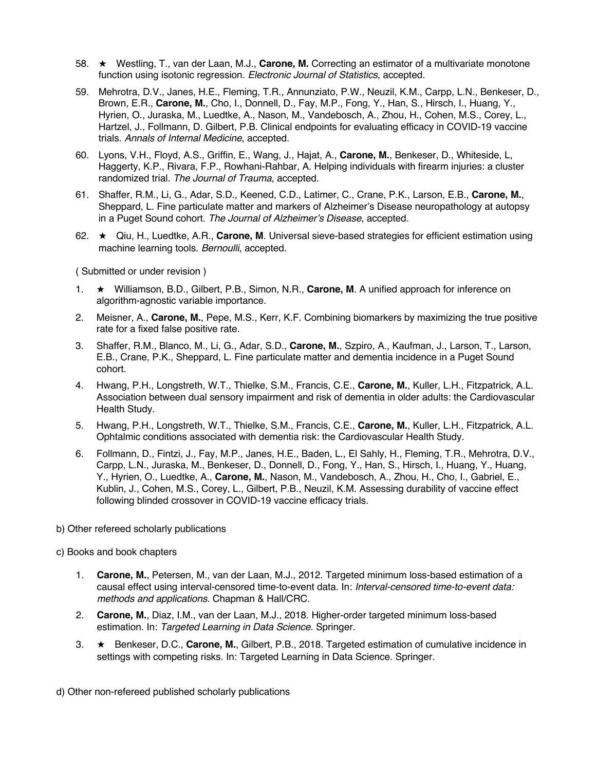- 58. ★ Westling, T., van der Laan, M.J., **Carone, M.** Correcting an estimator of a multivariate monotone function using isotonic regression. *Electronic Journal of Statistics*, accepted.
- 59. Mehrotra, D.V., Janes, H.E., Fleming, T.R., Annunziato, P.W., Neuzil, K.M., Carpp, L.N., Benkeser, D., Brown, E.R., **Carone, M.**, Cho, I., Donnell, D., Fay, M.P., Fong, Y., Han, S., Hirsch, I., Huang, Y., Hyrien, O., Juraska, M., Luedtke, A., Nason, M., Vandebosch, A., Zhou, H., Cohen, M.S., Corey, L., Hartzel, J., Follmann, D. Gilbert, P.B. Clinical endpoints for evaluating efficacy in COVID-19 vaccine trials. *Annals of Internal Medicine*, accepted.
- 60. Lyons, V.H., Floyd, A.S., Griffin, E., Wang, J., Hajat, A., **Carone, M.**, Benkeser, D., Whiteside, L, Haggerty, K.P., Rivara, F.P., Rowhani-Rahbar, A. Helping individuals with firearm injuries: a cluster randomized trial. *The Journal of Trauma*, accepted.
- 61. Shaffer, R.M., Li, G., Adar, S.D., Keened, C.D., Latimer, C., Crane, P.K., Larson, E.B., **Carone, M.**, Sheppard, L. Fine particulate matter and markers of Alzheimer's Disease neuropathology at autopsy in a Puget Sound cohort. *The Journal of Alzheimer's Disease*, accepted.
- 62. ★ Qiu, H., Luedtke, A.R., **Carone, M**. Universal sieve-based strategies for efficient estimation using machine learning tools. *Bernoulli*, accepted.

( Submitted or under revision )

- 1. ★ Williamson, B.D., Gilbert, P.B., Simon, N.R., **Carone, M**. A unified approach for inference on algorithm-agnostic variable importance.
- 2. Meisner, A., **Carone, M.**, Pepe, M.S., Kerr, K.F. Combining biomarkers by maximizing the true positive rate for a fixed false positive rate.
- 3. Shaffer, R.M., Blanco, M., Li, G., Adar, S.D., **Carone, M.**, Szpiro, A., Kaufman, J., Larson, T., Larson, E.B., Crane, P.K., Sheppard, L. Fine particulate matter and dementia incidence in a Puget Sound cohort.
- 4. Hwang, P.H., Longstreth, W.T., Thielke, S.M., Francis, C.E., **Carone, M.**, Kuller, L.H., Fitzpatrick, A.L. Association between dual sensory impairment and risk of dementia in older adults: the Cardiovascular Health Study.
- 5. Hwang, P.H., Longstreth, W.T., Thielke, S.M., Francis, C.E., **Carone, M.**, Kuller, L.H., Fitzpatrick, A.L. Ophtalmic conditions associated with dementia risk: the Cardiovascular Health Study.
- 6. Follmann, D., Fintzi, J., Fay, M.P., Janes, H.E., Baden, L., El Sahly, H., Fleming, T.R., Mehrotra, D.V., Carpp, L.N., Juraska, M., Benkeser, D., Donnell, D., Fong, Y., Han, S., Hirsch, I., Huang, Y., Huang, Y., Hyrien, O., Luedtke, A., **Carone, M.**, Nason, M., Vandebosch, A., Zhou, H., Cho, I., Gabriel, E., Kublin, J., Cohen, M.S., Corey, L., Gilbert, P.B., Neuzil, K.M. Assessing durability of vaccine effect following blinded crossover in COVID-19 vaccine efficacy trials.
- b) Other refereed scholarly publications
- c) Books and book chapters
	- 1. **Carone, M.**, Petersen, M., van der Laan, M.J., 2012. Targeted minimum loss-based estimation of a causal effect using interval-censored time-to-event data. In: *Interval-censored time-to-event data: methods and applications.* Chapman & Hall/CRC.
	- 2. **Carone, M.**, Diaz, I.M., van der Laan, M.J., 2018. Higher-order targeted minimum loss-based estimation. In: *Targeted Learning in Data Science*. Springer.
	- 3. ★ Benkeser, D.C., **Carone, M.**, Gilbert, P.B., 2018. Targeted estimation of cumulative incidence in settings with competing risks. In: Targeted Learning in Data Science. Springer.

d) Other non-refereed published scholarly publications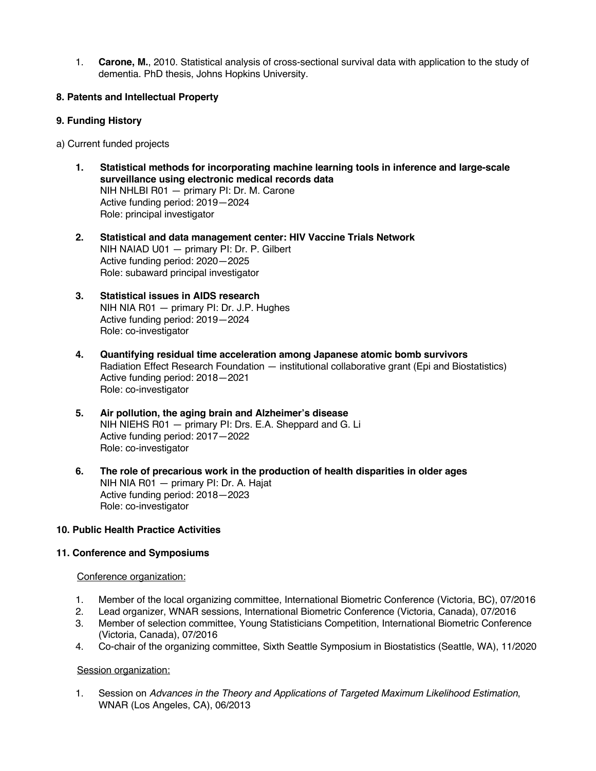1. **Carone, M.**, 2010. Statistical analysis of cross-sectional survival data with application to the study of dementia. PhD thesis, Johns Hopkins University.

## **8. Patents and Intellectual Property**

## **9. Funding History**

a) Current funded projects

- **1. Statistical methods for incorporating machine learning tools in inference and large-scale surveillance using electronic medical records data** NIH NHLBI R01 — primary PI: Dr. M. Carone Active funding period: 2019—2024 Role: principal investigator
- **2. Statistical and data management center: HIV Vaccine Trials Network** NIH NAIAD U01 — primary PI: Dr. P. Gilbert Active funding period: 2020—2025 Role: subaward principal investigator
- **3. Statistical issues in AIDS research** NIH NIA R01 — primary PI: Dr. J.P. Hughes Active funding period: 2019—2024 Role: co-investigator
- **4. Quantifying residual time acceleration among Japanese atomic bomb survivors** Radiation Effect Research Foundation — institutional collaborative grant (Epi and Biostatistics) Active funding period: 2018—2021 Role: co-investigator
- **5. Air pollution, the aging brain and Alzheimer's disease** NIH NIEHS R01 — primary PI: Drs. E.A. Sheppard and G. Li Active funding period: 2017—2022 Role: co-investigator
- **6. The role of precarious work in the production of health disparities in older ages** NIH NIA R01 — primary PI: Dr. A. Hajat Active funding period: 2018—2023 Role: co-investigator

# **10. Public Health Practice Activities**

### **11. Conference and Symposiums**

### Conference organization:

- 1. Member of the local organizing committee, International Biometric Conference (Victoria, BC), 07/2016
- 2. Lead organizer, WNAR sessions, International Biometric Conference (Victoria, Canada), 07/2016
- 3. Member of selection committee, Young Statisticians Competition, International Biometric Conference (Victoria, Canada), 07/2016
- 4. Co-chair of the organizing committee, Sixth Seattle Symposium in Biostatistics (Seattle, WA), 11/2020

# Session organization:

1. Session on *Advances in the Theory and Applications of Targeted Maximum Likelihood Estimation*, WNAR (Los Angeles, CA), 06/2013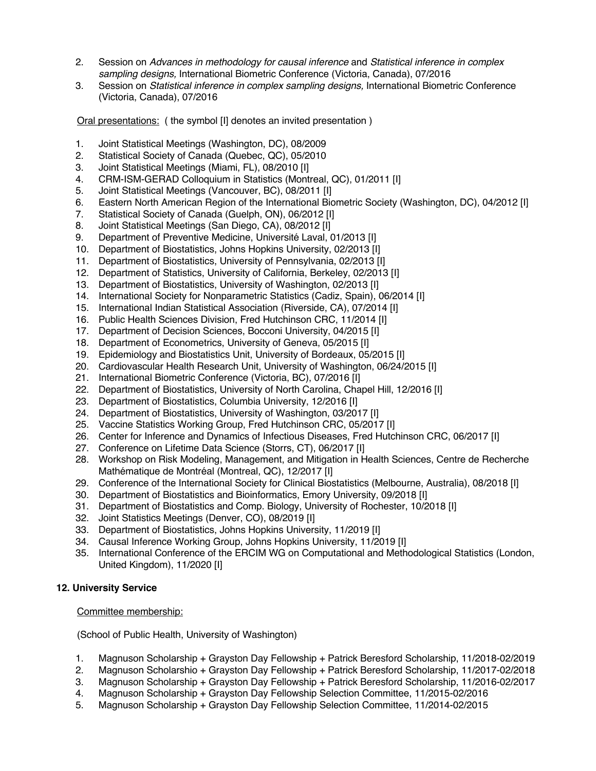- 2. Session on *Advances in methodology for causal inference* and *Statistical inference in complex sampling designs,* International Biometric Conference (Victoria, Canada), 07/2016
- 3. Session on *Statistical inference in complex sampling designs,* International Biometric Conference (Victoria, Canada), 07/2016

Oral presentations: ( the symbol [I] denotes an invited presentation )

- 1. Joint Statistical Meetings (Washington, DC), 08/2009
- 2. Statistical Society of Canada (Quebec, QC), 05/2010
- 3. Joint Statistical Meetings (Miami, FL), 08/2010 [I]
- 4. CRM-ISM-GERAD Colloquium in Statistics (Montreal, QC), 01/2011 [I]
- 5. Joint Statistical Meetings (Vancouver, BC), 08/2011 [I]
- 6. Eastern North American Region of the International Biometric Society (Washington, DC), 04/2012 [I]
- 7. Statistical Society of Canada (Guelph, ON), 06/2012 [I]
- 8. Joint Statistical Meetings (San Diego, CA), 08/2012 [I]
- 9. Department of Preventive Medicine, Université Laval, 01/2013 [I]
- 10. Department of Biostatistics, Johns Hopkins University, 02/2013 [I]
- 11. Department of Biostatistics, University of Pennsylvania, 02/2013 [I]
- 12. Department of Statistics, University of California, Berkeley, 02/2013 [I]
- 13. Department of Biostatistics, University of Washington, 02/2013 [I]
- 14. International Society for Nonparametric Statistics (Cadiz, Spain), 06/2014 [I]
- 15. International Indian Statistical Association (Riverside, CA), 07/2014 [I]
- 16. Public Health Sciences Division, Fred Hutchinson CRC, 11/2014 [I]
- 17. Department of Decision Sciences, Bocconi University, 04/2015 [I]
- 18. Department of Econometrics, University of Geneva, 05/2015 [I]
- 19. Epidemiology and Biostatistics Unit, University of Bordeaux, 05/2015 [I]
- 20. Cardiovascular Health Research Unit, University of Washington, 06/24/2015 [I]
- 21. International Biometric Conference (Victoria, BC), 07/2016 [I]
- 22. Department of Biostatistics, University of North Carolina, Chapel Hill, 12/2016 [I]
- 23. Department of Biostatistics, Columbia University, 12/2016 [I]
- 24. Department of Biostatistics, University of Washington, 03/2017 [I]
- 25. Vaccine Statistics Working Group, Fred Hutchinson CRC, 05/2017 [I]
- 26. Center for Inference and Dynamics of Infectious Diseases, Fred Hutchinson CRC, 06/2017 [I]
- 27. Conference on Lifetime Data Science (Storrs, CT), 06/2017 [I]
- 28. Workshop on Risk Modeling, Management, and Mitigation in Health Sciences, Centre de Recherche Mathématique de Montréal (Montreal, QC), 12/2017 [I]
- 29. Conference of the International Society for Clinical Biostatistics (Melbourne, Australia), 08/2018 [I]
- 30. Department of Biostatistics and Bioinformatics, Emory University, 09/2018 [I]
- 31. Department of Biostatistics and Comp. Biology, University of Rochester, 10/2018 [I]
- 32. Joint Statistics Meetings (Denver, CO), 08/2019 [I]
- 33. Department of Biostatistics, Johns Hopkins University, 11/2019 [I]
- 34. Causal Inference Working Group, Johns Hopkins University, 11/2019 [I]
- 35. International Conference of the ERCIM WG on Computational and Methodological Statistics (London, United Kingdom), 11/2020 [I]

### **12. University Service**

### Committee membership:

(School of Public Health, University of Washington)

- 1. Magnuson Scholarship + Grayston Day Fellowship + Patrick Beresford Scholarship, 11/2018-02/2019
- 2. Magnuson Scholarshio + Grayston Day Fellowship + Patrick Beresford Scholarship, 11/2017-02/2018
- 3. Magnuson Scholarship + Grayston Day Fellowship + Patrick Beresford Scholarship, 11/2016-02/2017
- 4. Magnuson Scholarship + Grayston Day Fellowship Selection Committee, 11/2015-02/2016
- 5. Magnuson Scholarship + Grayston Day Fellowship Selection Committee, 11/2014-02/2015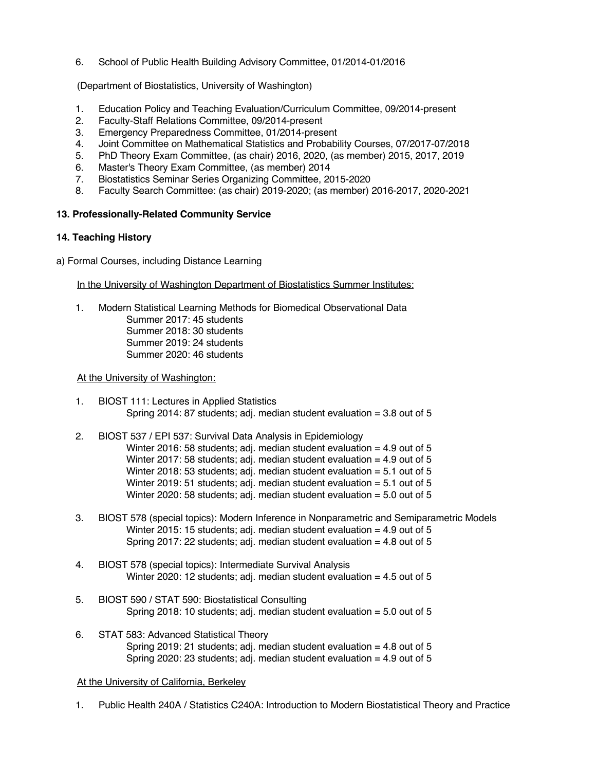6. School of Public Health Building Advisory Committee, 01/2014-01/2016

(Department of Biostatistics, University of Washington)

- 1. Education Policy and Teaching Evaluation/Curriculum Committee, 09/2014-present
- 2. Faculty-Staff Relations Committee, 09/2014-present
- 3. Emergency Preparedness Committee, 01/2014-present
- 4. Joint Committee on Mathematical Statistics and Probability Courses, 07/2017-07/2018
- 5. PhD Theory Exam Committee, (as chair) 2016, 2020, (as member) 2015, 2017, 2019
- 6. Master's Theory Exam Committee, (as member) 2014
- 7. Biostatistics Seminar Series Organizing Committee, 2015-2020
- 8. Faculty Search Committee: (as chair) 2019-2020; (as member) 2016-2017, 2020-2021

## **13. Professionally-Related Community Service**

## **14. Teaching History**

a) Formal Courses, including Distance Learning

In the University of Washington Department of Biostatistics Summer Institutes:

1. Modern Statistical Learning Methods for Biomedical Observational Data Summer 2017: 45 students Summer 2018: 30 students Summer 2019: 24 students Summer 2020: 46 students

### At the University of Washington:

- 1. BIOST 111: Lectures in Applied Statistics Spring 2014: 87 students; adj. median student evaluation = 3.8 out of 5
- 2. BIOST 537 / EPI 537: Survival Data Analysis in Epidemiology Winter 2016: 58 students; adj. median student evaluation  $= 4.9$  out of 5 Winter 2017: 58 students; adj. median student evaluation  $= 4.9$  out of 5 Winter 2018: 53 students; adj. median student evaluation  $= 5.1$  out of 5 Winter 2019: 51 students; adj. median student evaluation  $= 5.1$  out of 5 Winter 2020: 58 students; adj. median student evaluation = 5.0 out of 5
- 3. BIOST 578 (special topics): Modern Inference in Nonparametric and Semiparametric Models Winter 2015: 15 students; adj. median student evaluation = 4.9 out of 5 Spring 2017: 22 students; adj. median student evaluation  $= 4.8$  out of 5
- 4. BIOST 578 (special topics): Intermediate Survival Analysis Winter 2020: 12 students; adj. median student evaluation  $= 4.5$  out of 5
- 5. BIOST 590 / STAT 590: Biostatistical Consulting Spring 2018: 10 students; adj. median student evaluation  $= 5.0$  out of 5
- 6. STAT 583: Advanced Statistical Theory Spring 2019: 21 students; adj. median student evaluation  $=$  4.8 out of 5 Spring 2020: 23 students; adj. median student evaluation = 4.9 out of 5

### At the University of California, Berkeley

1. Public Health 240A / Statistics C240A: Introduction to Modern Biostatistical Theory and Practice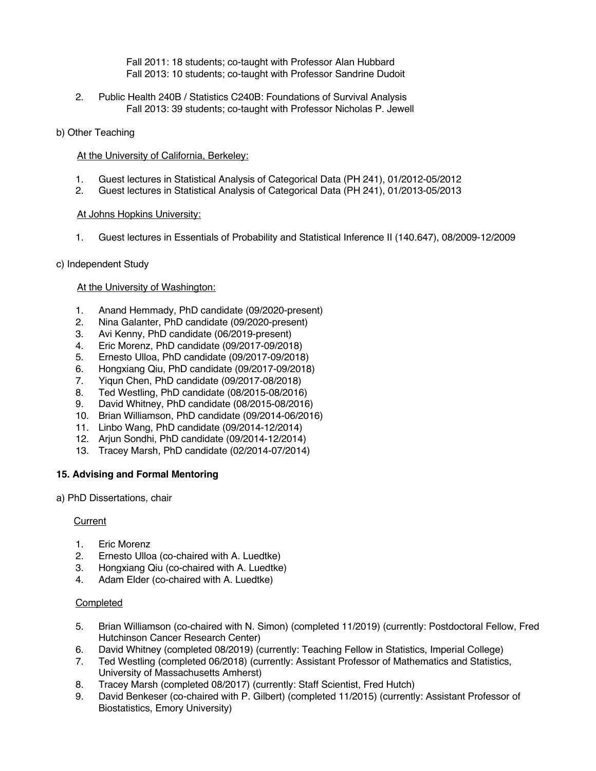Fall 2011: 18 students; co-taught with Professor Alan Hubbard Fall 2013: 10 students; co-taught with Professor Sandrine Dudoit

2. Public Health 240B / Statistics C240B: Foundations of Survival Analysis Fall 2013: 39 students; co-taught with Professor Nicholas P. Jewell

## b) Other Teaching

At the University of California, Berkeley:

- 1. Guest lectures in Statistical Analysis of Categorical Data (PH 241), 01/2012-05/2012
- 2. Guest lectures in Statistical Analysis of Categorical Data (PH 241), 01/2013-05/2013

## At Johns Hopkins University:

1. Guest lectures in Essentials of Probability and Statistical Inference II (140.647), 08/2009-12/2009

## c) Independent Study

## At the University of Washington:

- 1. Anand Hemmady, PhD candidate (09/2020-present)
- 2. Nina Galanter, PhD candidate (09/2020-present)
- 3. Avi Kenny, PhD candidate (06/2019-present)
- 4. Eric Morenz, PhD candidate (09/2017-09/2018)
- 5. Ernesto Ulloa, PhD candidate (09/2017-09/2018)
- 6. Hongxiang Qiu, PhD candidate (09/2017-09/2018)
- 
- 7. Yiqun Chen, PhD candidate (09/2017-08/2018) 8. Ted Westling, PhD candidate (08/2015-08/2016)
- 9. David Whitney, PhD candidate (08/2015-08/2016)
- 10. Brian Williamson, PhD candidate (09/2014-06/2016)
- 11. Linbo Wang, PhD candidate (09/2014-12/2014)
- 12. Arjun Sondhi, PhD candidate (09/2014-12/2014)
- 13. Tracey Marsh, PhD candidate (02/2014-07/2014)

# **15. Advising and Formal Mentoring**

a) PhD Dissertations, chair

### **Current**

- 1. Eric Morenz
- 2. Ernesto Ulloa (co-chaired with A. Luedtke)
- 3. Hongxiang Qiu (co-chaired with A. Luedtke)
- 4. Adam Elder (co-chaired with A. Luedtke)

### **Completed**

- 5. Brian Williamson (co-chaired with N. Simon) (completed 11/2019) (currently: Postdoctoral Fellow, Fred Hutchinson Cancer Research Center)
- 6. David Whitney (completed 08/2019) (currently: Teaching Fellow in Statistics, Imperial College)
- 7. Ted Westling (completed 06/2018) (currently: Assistant Professor of Mathematics and Statistics, University of Massachusetts Amherst)
- 8. Tracey Marsh (completed 08/2017) (currently: Staff Scientist, Fred Hutch)
- 9. David Benkeser (co-chaired with P. Gilbert) (completed 11/2015) (currently: Assistant Professor of Biostatistics, Emory University)